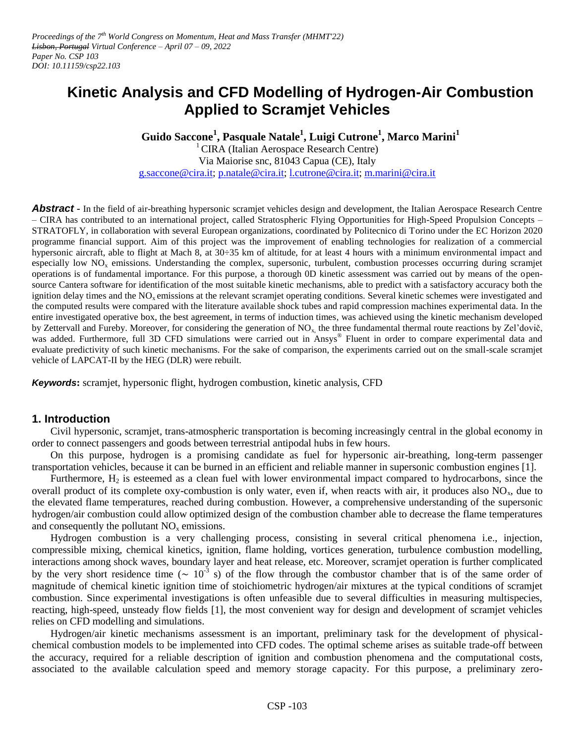# **Kinetic Analysis and CFD Modelling of Hydrogen-Air Combustion Applied to Scramjet Vehicles**

**Guido Saccone<sup>1</sup> , Pasquale Natale<sup>1</sup> , Luigi Cutrone<sup>1</sup> , Marco Marini<sup>1</sup>**

 $<sup>1</sup> CIRA$  (Italian Aerospace Research Centre)</sup> Via Maiorise snc, 81043 Capua (CE), Italy [g.saccone@cira.it;](mailto:g.saccone@cira.it) [p.natale@cira.it;](mailto:p.natale@cira.it) [l.cutrone@cira.it;](mailto:l.cutrone@cira.it) [m.marini@cira.it](mailto:m.marini@cira.it)

**Abstract -** In the field of air-breathing hypersonic scramjet vehicles design and development, the Italian Aerospace Research Centre – CIRA has contributed to an international project, called Stratospheric Flying Opportunities for High-Speed Propulsion Concepts – STRATOFLY, in collaboration with several European organizations, coordinated by Politecnico di Torino under the EC Horizon 2020 programme financial support. Aim of this project was the improvement of enabling technologies for realization of a commercial hypersonic aircraft, able to flight at Mach 8, at 30÷35 km of altitude, for at least 4 hours with a minimum environmental impact and especially low  $NO<sub>x</sub>$  emissions. Understanding the complex, supersonic, turbulent, combustion processes occurring during scramjet operations is of fundamental importance. For this purpose, a thorough 0D kinetic assessment was carried out by means of the opensource Cantera software for identification of the most suitable kinetic mechanisms, able to predict with a satisfactory accuracy both the ignition delay times and the  $NO<sub>x</sub>$  emissions at the relevant scramjet operating conditions. Several kinetic schemes were investigated and the computed results were compared with the literature available shock tubes and rapid compression machines experimental data. In the entire investigated operative box, the best agreement, in terms of induction times, was achieved using the kinetic mechanism developed by Zettervall and Fureby. Moreover, for considering the generation of  $NO<sub>x</sub>$ , the three fundamental thermal route reactions by Zel'dovič, was added. Furthermore, full 3D CFD simulations were carried out in Ansys® Fluent in order to compare experimental data and evaluate predictivity of such kinetic mechanisms. For the sake of comparison, the experiments carried out on the small-scale scramjet vehicle of LAPCAT-II by the HEG (DLR) were rebuilt.

*Keywords***:** scramjet, hypersonic flight, hydrogen combustion, kinetic analysis, CFD

## **1. Introduction**

Civil hypersonic, scramjet, trans-atmospheric transportation is becoming increasingly central in the global economy in order to connect passengers and goods between terrestrial antipodal hubs in few hours.

On this purpose, hydrogen is a promising candidate as fuel for hypersonic air-breathing, long-term passenger transportation vehicles, because it can be burned in an efficient and reliable manner in supersonic combustion engines [1].

Furthermore,  $H_2$  is esteemed as a clean fuel with lower environmental impact compared to hydrocarbons, since the overall product of its complete oxy-combustion is only water, even if, when reacts with air, it produces also  $NO<sub>x</sub>$ , due to the elevated flame temperatures, reached during combustion. However, a comprehensive understanding of the supersonic hydrogen/air combustion could allow optimized design of the combustion chamber able to decrease the flame temperatures and consequently the pollutant  $NO<sub>x</sub>$  emissions.

Hydrogen combustion is a very challenging process, consisting in several critical phenomena i.e., injection, compressible mixing, chemical kinetics, ignition, flame holding, vortices generation, turbulence combustion modelling, interactions among shock waves, boundary layer and heat release, etc. Moreover, scramjet operation is further complicated by the very short residence time ( $\sim 10^{-3}$  s) of the flow through the combustor chamber that is of the same order of magnitude of chemical kinetic ignition time of stoichiometric hydrogen/air mixtures at the typical conditions of scramjet combustion. Since experimental investigations is often unfeasible due to several difficulties in measuring multispecies, reacting, high-speed, unsteady flow fields [1], the most convenient way for design and development of scramjet vehicles relies on CFD modelling and simulations.

Hydrogen/air kinetic mechanisms assessment is an important, preliminary task for the development of physicalchemical combustion models to be implemented into CFD codes. The optimal scheme arises as suitable trade-off between the accuracy, required for a reliable description of ignition and combustion phenomena and the computational costs, associated to the available calculation speed and memory storage capacity. For this purpose, a preliminary zero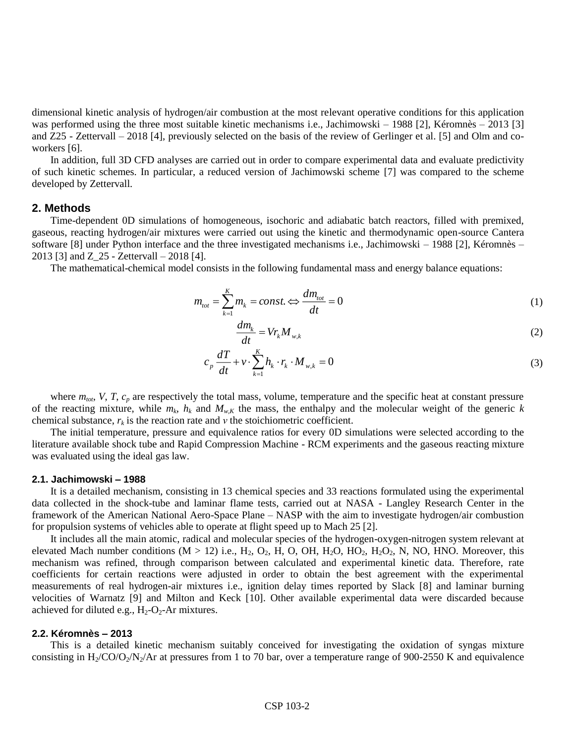dimensional kinetic analysis of hydrogen/air combustion at the most relevant operative conditions for this application was performed using the three most suitable kinetic mechanisms i.e., Jachimowski – 1988 [2], Kéromnès – 2013 [3] and Z25 - Zettervall – 2018 [4], previously selected on the basis of the review of Gerlinger et al. [5] and Olm and coworkers [6].

In addition, full 3D CFD analyses are carried out in order to compare experimental data and evaluate predictivity of such kinetic schemes. In particular, a reduced version of Jachimowski scheme [7] was compared to the scheme developed by Zettervall.

## **2. Methods**

Time-dependent 0D simulations of homogeneous, isochoric and adiabatic batch reactors, filled with premixed, gaseous, reacting hydrogen/air mixtures were carried out using the kinetic and thermodynamic open-source Cantera software [8] under Python interface and the three investigated mechanisms i.e., Jachimowski – 1988 [2], Kéromnès – 2013 [3] and Z 25 - Zettervall – 2018 [4].

The mathematical-chemical model consists in the following fundamental mass and energy balance equations:

$$
m_{tot} = \sum_{k=1}^{K} m_k = const. \Longleftrightarrow \frac{dm_{tot}}{dt} = 0 \tag{1}
$$

$$
\frac{dm_k}{dt} = V r_k M_{w,k} \tag{2}
$$

$$
c_p \frac{dT}{dt} + v \cdot \sum_{k=1}^{K} h_k \cdot r_k \cdot M_{w,k} = 0
$$
\n(3)

where  $m_{tot}$ , *V*, *T*,  $c_p$  are respectively the total mass, volume, temperature and the specific heat at constant pressure of the reacting mixture, while  $m_k$ ,  $h_k$  and  $M_{w,K}$  the mass, the enthalpy and the molecular weight of the generic k chemical substance,  $r_k$  is the reaction rate and  $\nu$  the stoichiometric coefficient.

The initial temperature, pressure and equivalence ratios for every 0D simulations were selected according to the literature available shock tube and Rapid Compression Machine - RCM experiments and the gaseous reacting mixture was evaluated using the ideal gas law.

### **2.1. Jachimowski – 1988**

It is a detailed mechanism, consisting in 13 chemical species and 33 reactions formulated using the experimental data collected in the shock-tube and laminar flame tests, carried out at NASA - Langley Research Center in the framework of the American National Aero-Space Plane – NASP with the aim to investigate hydrogen/air combustion for propulsion systems of vehicles able to operate at flight speed up to Mach 25 [2].

It includes all the main atomic, radical and molecular species of the hydrogen-oxygen-nitrogen system relevant at elevated Mach number conditions ( $M > 12$ ) i.e.,  $H_2$ ,  $O_2$ , H, O, OH,  $H_2O$ ,  $HO_2$ ,  $H_2O_2$ , N, NO, HNO. Moreover, this mechanism was refined, through comparison between calculated and experimental kinetic data. Therefore, rate coefficients for certain reactions were adjusted in order to obtain the best agreement with the experimental measurements of real hydrogen-air mixtures i.e., ignition delay times reported by Slack [8] and laminar burning velocities of Warnatz [9] and Milton and Keck [10]. Other available experimental data were discarded because achieved for diluted e.g.,  $H_2-O_2$ -Ar mixtures.

#### **2.2. Kéromnès – 2013**

This is a detailed kinetic mechanism suitably conceived for investigating the oxidation of syngas mixture consisting in  $H_2/CO/O_2/N_2/Ar$  at pressures from 1 to 70 bar, over a temperature range of 900-2550 K and equivalence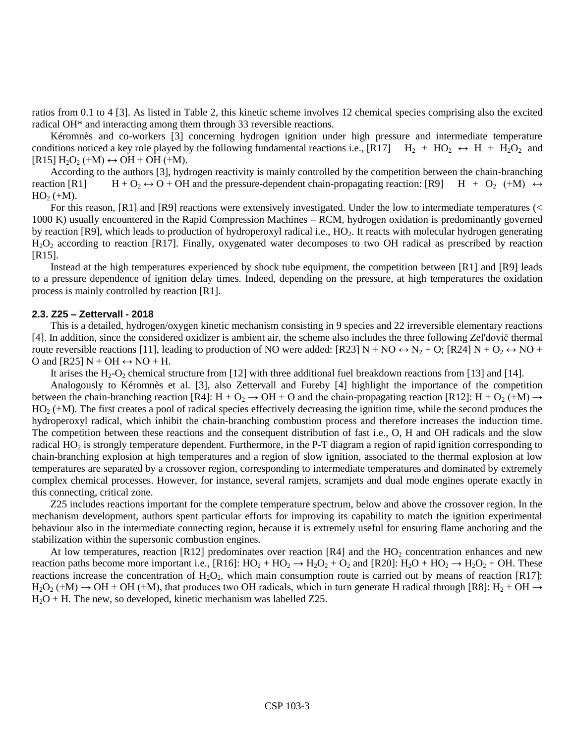ratios from 0.1 to 4 [3]. As listed in Table 2, this kinetic scheme involves 12 chemical species comprising also the excited radical OH\* and interacting among them through 33 reversible reactions.

Kéromnès and co-workers [3] concerning hydrogen ignition under high pressure and intermediate temperature conditions noticed a key role played by the following fundamental reactions i.e., [R17]  $\mathrm{H}_2 + \mathrm{HO}_2 \leftrightarrow \mathrm{H} + \mathrm{H}_2\mathrm{O}_2$  and  $[R15] H<sub>2</sub>O<sub>2</sub> (+M) \leftrightarrow OH + OH (+M).$ 

According to the authors [3], hydrogen reactivity is mainly controlled by the competition between the chain-branching reaction [R1] H + O<sub>2</sub>  $\leftrightarrow$  O + OH and the pressure-dependent chain-propagating reaction: [R9] H + O<sub>2</sub> (+M)  $\leftrightarrow$  $HO<sub>2</sub>$  (+M).

For this reason, [R1] and [R9] reactions were extensively investigated. Under the low to intermediate temperatures (< 1000 K) usually encountered in the Rapid Compression Machines – RCM, hydrogen oxidation is predominantly governed by reaction  $[R9]$ , which leads to production of hydroperoxyl radical i.e.,  $HO_2$ . It reacts with molecular hydrogen generating H<sub>2</sub>O<sub>2</sub> according to reaction [R17]. Finally, oxygenated water decomposes to two OH radical as prescribed by reaction [R<sub>15</sub>].

Instead at the high temperatures experienced by shock tube equipment, the competition between [R1] and [R9] leads to a pressure dependence of ignition delay times. Indeed, depending on the pressure, at high temperatures the oxidation process is mainly controlled by reaction [R1].

#### **2.3. Z25 – Zettervall - 2018**

This is a detailed, hydrogen/oxygen kinetic mechanism consisting in 9 species and 22 irreversible elementary reactions [4]. In addition, since the considered oxidizer is ambient air, the scheme also includes the three following Zel'dovič thermal route reversible reactions [11], leading to production of NO were added: [R23] N + NO  $\leftrightarrow$  N<sub>2</sub> + O; [R24] N + O<sub>2</sub>  $\leftrightarrow$  NO + O and [R25]  $N + OH \leftrightarrow NO + H$ .

It arises the H<sub>2</sub>-O<sub>2</sub> chemical structure from [12] with three additional fuel breakdown reactions from [13] and [14].

Analogously to Kéromnès et al. [3], also Zettervall and Fureby [4] highlight the importance of the competition between the chain-branching reaction [R4]:  $H + O_2 \rightarrow OH + O$  and the chain-propagating reaction [R12]:  $H + O_2$  (+M)  $\rightarrow$  $HO<sub>2</sub>$  (+M). The first creates a pool of radical species effectively decreasing the ignition time, while the second produces the hydroperoxyl radical, which inhibit the chain-branching combustion process and therefore increases the induction time. The competition between these reactions and the consequent distribution of fast i.e., O, H and OH radicals and the slow radical HO<sub>2</sub> is strongly temperature dependent. Furthermore, in the P-T diagram a region of rapid ignition corresponding to chain-branching explosion at high temperatures and a region of slow ignition, associated to the thermal explosion at low temperatures are separated by a crossover region, corresponding to intermediate temperatures and dominated by extremely complex chemical processes. However, for instance, several ramjets, scramjets and dual mode engines operate exactly in this connecting, critical zone.

Z25 includes reactions important for the complete temperature spectrum, below and above the crossover region. In the mechanism development, authors spent particular efforts for improving its capability to match the ignition experimental behaviour also in the intermediate connecting region, because it is extremely useful for ensuring flame anchoring and the stabilization within the supersonic combustion engines.

At low temperatures, reaction  $[R12]$  predominates over reaction  $[R4]$  and the  $HO<sub>2</sub>$  concentration enhances and new reaction paths become more important i.e.,  $[R16]$ :  $HO_2 + HO_2 \rightarrow H_2O_2 + O_2$  and  $[R20]$ :  $H_2O + HO_2 \rightarrow H_2O_2 + OH$ . These reactions increase the concentration of  $H_2O_2$ , which main consumption route is carried out by means of reaction [R17]:  $H_2O_2$  (+M)  $\rightarrow$  OH + OH (+M), that produces two OH radicals, which in turn generate H radical through [R8]: H<sub>2</sub> + OH  $\rightarrow$  $H<sub>2</sub>O + H$ . The new, so developed, kinetic mechanism was labelled Z25.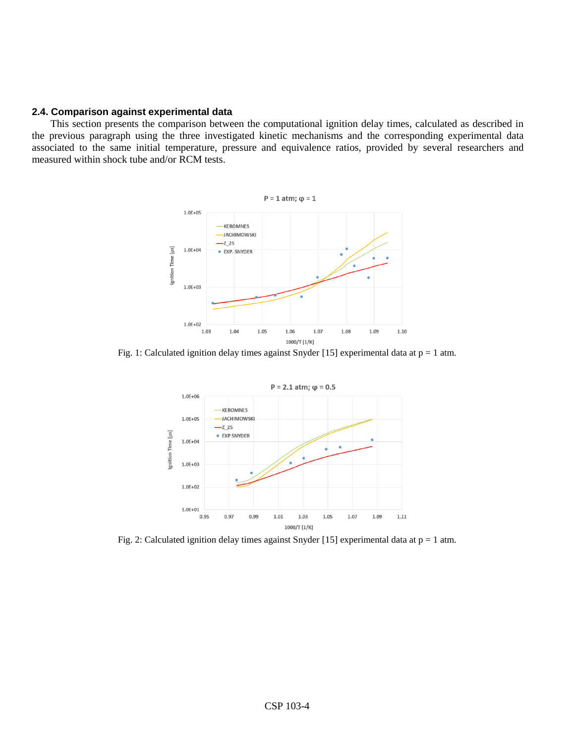## **2.4. Comparison against experimental data**

This section presents the comparison between the computational ignition delay times, calculated as described in the previous paragraph using the three investigated kinetic mechanisms and the corresponding experimental data associated to the same initial temperature, pressure and equivalence ratios, provided by several researchers and measured within shock tube and/or RCM tests.



Fig. 1: Calculated ignition delay times against Snyder [15] experimental data at  $p = 1$  atm.



Fig. 2: Calculated ignition delay times against Snyder [15] experimental data at  $p = 1$  atm.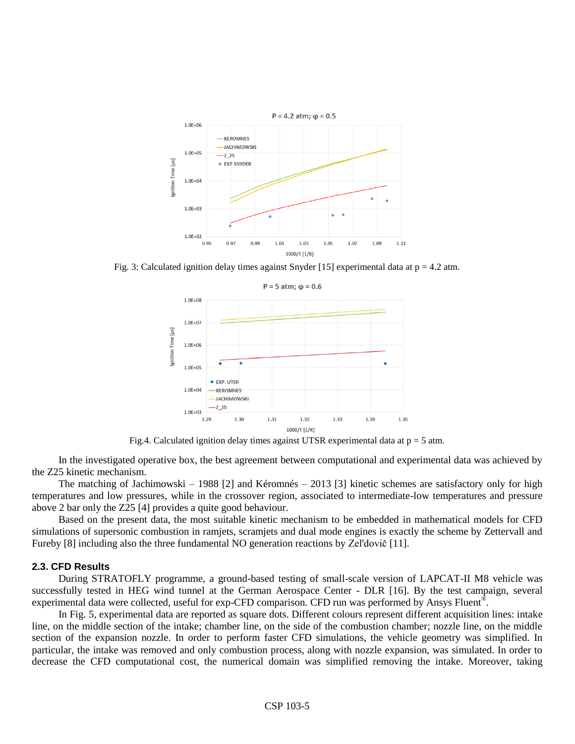

Fig. 3: Calculated ignition delay times against Snyder [15] experimental data at  $p = 4.2$  atm.



Fig.4. Calculated ignition delay times against UTSR experimental data at  $p = 5$  atm.

In the investigated operative box, the best agreement between computational and experimental data was achieved by the Z25 kinetic mechanism.

The matching of Jachimowski – 1988 [2] and Kéromnés – 2013 [3] kinetic schemes are satisfactory only for high temperatures and low pressures, while in the crossover region, associated to intermediate-low temperatures and pressure above 2 bar only the Z25 [4] provides a quite good behaviour.

Based on the present data, the most suitable kinetic mechanism to be embedded in mathematical models for CFD simulations of supersonic combustion in ramjets, scramjets and dual mode engines is exactly the scheme by Zettervall and Fureby [8] including also the three fundamental NO generation reactions by Zel'dovič [11].

## **2.3. CFD Results**

During STRATOFLY programme, a ground-based testing of small-scale version of LAPCAT-II M8 vehicle was successfully tested in HEG wind tunnel at the German Aerospace Center - DLR [16]. By the test campaign, several experimental data were collected, useful for exp-CFD comparison. CFD run was performed by Ansys Fluent®.

In Fig. 5, experimental data are reported as square dots. Different colours represent different acquisition lines: intake line, on the middle section of the intake; chamber line, on the side of the combustion chamber; nozzle line, on the middle section of the expansion nozzle. In order to perform faster CFD simulations, the vehicle geometry was simplified. In particular, the intake was removed and only combustion process, along with nozzle expansion, was simulated. In order to decrease the CFD computational cost, the numerical domain was simplified removing the intake. Moreover, taking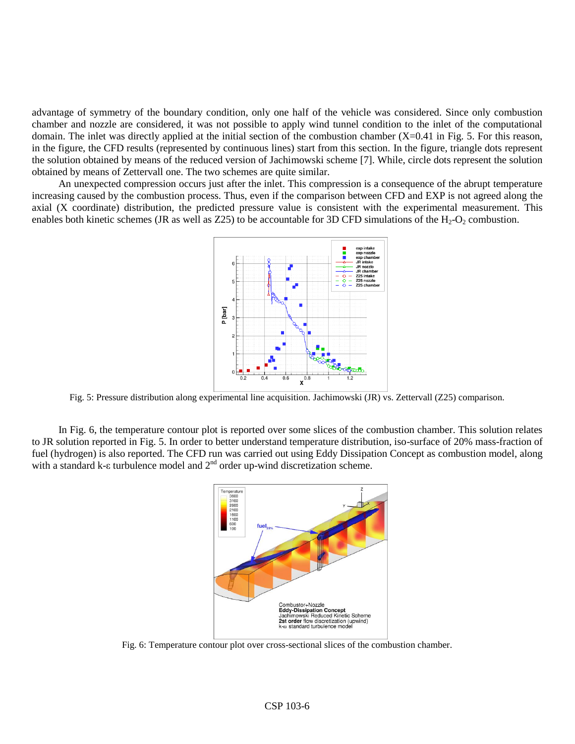advantage of symmetry of the boundary condition, only one half of the vehicle was considered. Since only combustion chamber and nozzle are considered, it was not possible to apply wind tunnel condition to the inlet of the computational domain. The inlet was directly applied at the initial section of the combustion chamber  $(X=0.41$  in Fig. 5. For this reason, in the figure, the CFD results (represented by continuous lines) start from this section. In the figure, triangle dots represent the solution obtained by means of the reduced version of Jachimowski scheme [7]. While, circle dots represent the solution obtained by means of Zettervall one. The two schemes are quite similar.

An unexpected compression occurs just after the inlet. This compression is a consequence of the abrupt temperature increasing caused by the combustion process. Thus, even if the comparison between CFD and EXP is not agreed along the axial (X coordinate) distribution, the predicted pressure value is consistent with the experimental measurement. This enables both kinetic schemes (JR as well as Z25) to be accountable for 3D CFD simulations of the  $H_2-O_2$  combustion.



Fig. 5: Pressure distribution along experimental line acquisition. Jachimowski (JR) vs. Zettervall (Z25) comparison.

In Fig. 6, the temperature contour plot is reported over some slices of the combustion chamber. This solution relates to JR solution reported in Fig. 5. In order to better understand temperature distribution, iso-surface of 20% mass-fraction of fuel (hydrogen) is also reported. The CFD run was carried out using Eddy Dissipation Concept as combustion model, along with a standard k-ε turbulence model and 2<sup>nd</sup> order up-wind discretization scheme.



Fig. 6: Temperature contour plot over cross-sectional slices of the combustion chamber.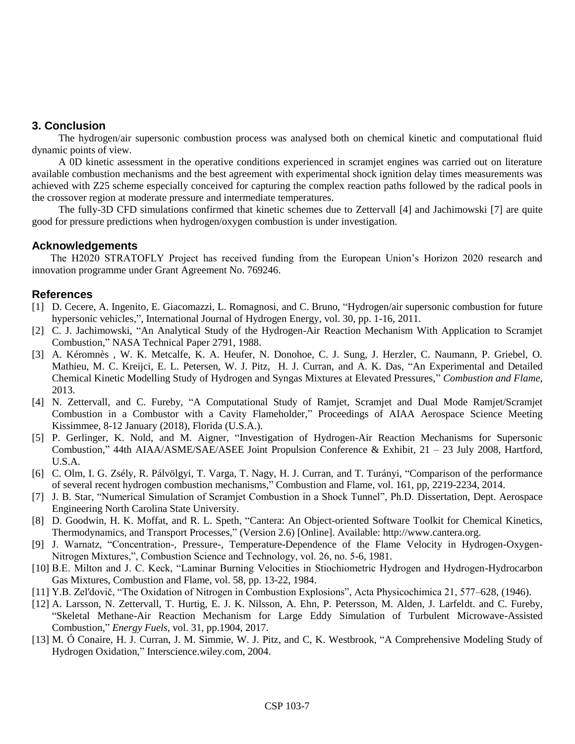# **3. Conclusion**

The hydrogen/air supersonic combustion process was analysed both on chemical kinetic and computational fluid dynamic points of view.

A 0D kinetic assessment in the operative conditions experienced in scramjet engines was carried out on literature available combustion mechanisms and the best agreement with experimental shock ignition delay times measurements was achieved with Z25 scheme especially conceived for capturing the complex reaction paths followed by the radical pools in the crossover region at moderate pressure and intermediate temperatures.

The fully-3D CFD simulations confirmed that kinetic schemes due to Zettervall [4] and Jachimowski [7] are quite good for pressure predictions when hydrogen/oxygen combustion is under investigation.

## **Acknowledgements**

The H2020 STRATOFLY Project has received funding from the European Union's Horizon 2020 research and innovation programme under Grant Agreement No. 769246.

## **References**

- [1] D. Cecere, A. Ingenito, E. Giacomazzi, L. Romagnosi, and C. Bruno, "Hydrogen/air supersonic combustion for future hypersonic vehicles,", International Journal of Hydrogen Energy, vol. 30, pp. 1-16, 2011.
- [2] C. J. Jachimowski, "An Analytical Study of the Hydrogen-Air Reaction Mechanism With Application to Scramjet Combustion," NASA Technical Paper 2791, 1988.
- [3] A. Kéromnès , W. K. Metcalfe, K. A. Heufer, N. Donohoe, C. J. Sung, J. Herzler, C. Naumann, P. Griebel, O. Mathieu, M. C. Kreijci, E. L. Petersen, W. J. Pitz, H. J. Curran, and A. K. Das, "An Experimental and Detailed Chemical Kinetic Modelling Study of Hydrogen and Syngas Mixtures at Elevated Pressures," *Combustion and Flame*, 2013.
- [4] N. Zettervall, and C. Fureby, "A Computational Study of Ramjet, Scramjet and Dual Mode Ramjet/Scramjet Combustion in a Combustor with a Cavity Flameholder," Proceedings of AIAA Aerospace Science Meeting Kissimmee, 8-12 January (2018), Florida (U.S.A.).
- [5] P. Gerlinger, K. Nold, and M. Aigner, "Investigation of Hydrogen-Air Reaction Mechanisms for Supersonic Combustion," 44th AIAA/ASME/SAE/ASEE Joint Propulsion Conference & Exhibit, 21 – 23 July 2008, Hartford, U.S.A.
- [6] C. Olm, I. G. Zsély, R. Pálvölgyi, T. Varga, T. Nagy, H. J. Curran, and T. Turányi, "Comparison of the performance of several recent hydrogen combustion mechanisms," Combustion and Flame, vol. 161, pp, 2219-2234, 2014.
- [7] J. B. Star, "Numerical Simulation of Scramjet Combustion in a Shock Tunnel", Ph.D. Dissertation, Dept. Aerospace Engineering North Carolina State University.
- [8] D. Goodwin, H. K. Moffat, and R. L. Speth, "Cantera: An Object-oriented Software Toolkit for Chemical Kinetics, Thermodynamics, and Transport Processes," (Version 2.6) [Online]. Available: http://www.cantera.org.
- [9] J. Warnatz, "Concentration-, Pressure-, Temperature-Dependence of the Flame Velocity in Hydrogen-Oxygen-Nitrogen Mixtures,", Combustion Science and Technology, vol. 26, no. 5-6, 1981.
- [10] B.E. Milton and J. C. Keck, "Laminar Burning Velocities in Stiochiometric Hydrogen and Hydrogen-Hydrocarbon Gas Mixtures, Combustion and Flame, vol. 58, pp. 13-22, 1984.
- [11] Y.B. Zel'dovič, "The Oxidation of Nitrogen in Combustion Explosions", Acta Physicochimica 21, 577–628, (1946).
- [12] A. Larsson, N. Zettervall, T. Hurtig, E. J. K. Nilsson, A. Ehn, P. Petersson, M. Alden, J. Larfeldt. and C. Fureby, "Skeletal Methane-Air Reaction Mechanism for Large Eddy Simulation of Turbulent Microwave-Assisted Combustion," *Energy Fuels*, vol. 31, pp.1904, 2017.
- [13] M. Ó Conaire, H. J. Curran, J. M. Simmie, W. J. Pitz, and C, K. Westbrook, "A Comprehensive Modeling Study of Hydrogen Oxidation," Interscience.wiley.com, 2004.